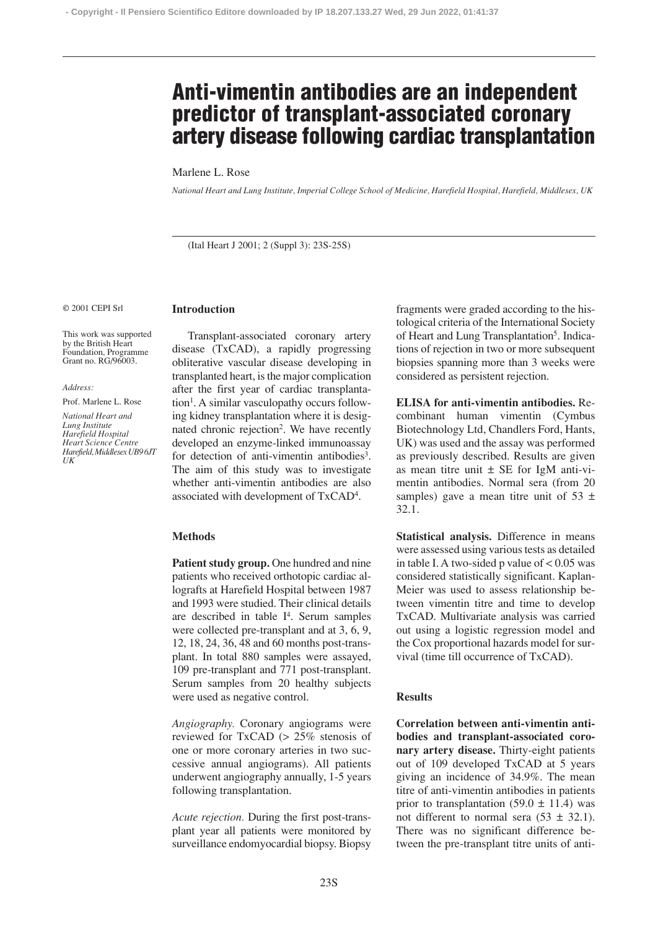# **Anti-vimentin antibodies are an independent predictor of transplant-associated coronary artery disease following cardiac transplantation**

### Marlene L. Rose

*National Heart and Lung Institute, Imperial College School of Medicine, Harefield Hospital, Harefield, Middlesex, UK*

(Ital Heart J 2001; 2 (Suppl 3): 23S-25S)

© 2001 CEPI Srl

#### **Introduction**

This work was supported by the British Heart Foundation, Programme Grant no. RG/96003.

#### *Address:*

Prof. Marlene L. Rose

*National Heart and Lung Institute Harefield Hospital Heart Science Centre Harefield, Middlesex UB9 6JT UK*

Transplant-associated coronary artery disease (TxCAD), a rapidly progressing obliterative vascular disease developing in transplanted heart, is the major complication after the first year of cardiac transplantation1. A similar vasculopathy occurs following kidney transplantation where it is designated chronic rejection<sup>2</sup>. We have recently developed an enzyme-linked immunoassay for detection of anti-vimentin antibodies<sup>3</sup>. The aim of this study was to investigate whether anti-vimentin antibodies are also associated with development of TxCAD4.

### **Methods**

**Patient study group.** One hundred and nine patients who received orthotopic cardiac allografts at Harefield Hospital between 1987 and 1993 were studied. Their clinical details are described in table  $I<sup>4</sup>$ . Serum samples were collected pre-transplant and at 3, 6, 9, 12, 18, 24, 36, 48 and 60 months post-transplant. In total 880 samples were assayed, 109 pre-transplant and 771 post-transplant. Serum samples from 20 healthy subjects were used as negative control.

*Angiography.* Coronary angiograms were reviewed for TxCAD (> 25% stenosis of one or more coronary arteries in two successive annual angiograms). All patients underwent angiography annually, 1-5 years following transplantation.

*Acute rejection.* During the first post-transplant year all patients were monitored by surveillance endomyocardial biopsy. Biopsy fragments were graded according to the histological criteria of the International Society of Heart and Lung Transplantation<sup>5</sup>. Indications of rejection in two or more subsequent biopsies spanning more than 3 weeks were considered as persistent rejection.

**ELISA for anti-vimentin antibodies.** Recombinant human vimentin (Cymbus Biotechnology Ltd, Chandlers Ford, Hants, UK) was used and the assay was performed as previously described. Results are given as mean titre unit  $\pm$  SE for IgM anti-vimentin antibodies. Normal sera (from 20 samples) gave a mean titre unit of 53  $\pm$ 32.1.

**Statistical analysis.** Difference in means were assessed using various tests as detailed in table I. A two-sided p value of  $< 0.05$  was considered statistically significant. Kaplan-Meier was used to assess relationship between vimentin titre and time to develop TxCAD. Multivariate analysis was carried out using a logistic regression model and the Cox proportional hazards model for survival (time till occurrence of TxCAD).

## **Results**

**Correlation between anti-vimentin antibodies and transplant-associated coronary artery disease.** Thirty-eight patients out of 109 developed TxCAD at 5 years giving an incidence of 34.9%. The mean titre of anti-vimentin antibodies in patients prior to transplantation  $(59.0 \pm 11.4)$  was not different to normal sera  $(53 \pm 32.1)$ . There was no significant difference between the pre-transplant titre units of anti-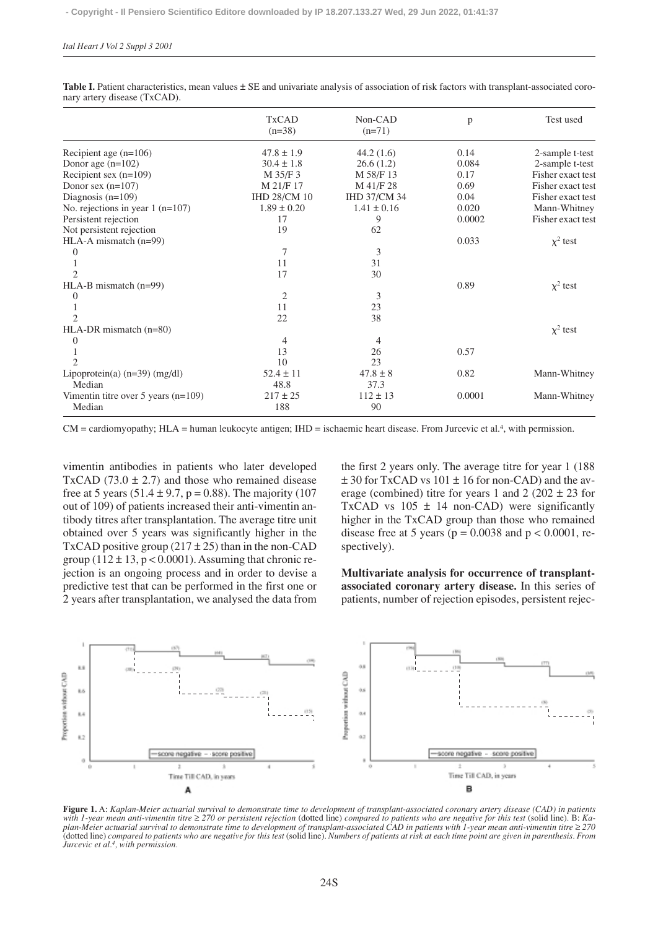#### *Ital Heart J Vol 2 Suppl 3 2001*

|                                       | <b>TxCAD</b><br>$(n=38)$ | Non-CAD<br>$(n=71)$ | p      | Test used         |
|---------------------------------------|--------------------------|---------------------|--------|-------------------|
| Recipient age $(n=106)$               | $47.8 \pm 1.9$           | 44.2(1.6)           | 0.14   | 2-sample t-test   |
| Donor age $(n=102)$                   | $30.4 \pm 1.8$           | 26.6(1.2)           | 0.084  | 2-sample t-test   |
| Recipient sex $(n=109)$               | M 35/F 3                 | M 58/F 13           | 0.17   | Fisher exact test |
| Donor sex $(n=107)$                   | M 21/F 17                | M 41/F 28           | 0.69   | Fisher exact test |
| Diagnosis $(n=109)$                   | <b>IHD 28/CM 10</b>      | <b>IHD 37/CM 34</b> | 0.04   | Fisher exact test |
| No. rejections in year $1$ (n=107)    | $1.89 \pm 0.20$          | $1.41 \pm 0.16$     | 0.020  | Mann-Whitney      |
| Persistent rejection                  | 17                       | 9                   | 0.0002 | Fisher exact test |
| Not persistent rejection              | 19                       | 62                  |        |                   |
| $HLA-A$ mismatch $(n=99)$             |                          |                     | 0.033  | $\chi^2$ test     |
| $\theta$                              | 7                        | 3                   |        |                   |
|                                       | 11                       | 31                  |        |                   |
| 2                                     | 17                       | 30                  |        |                   |
| $HLA-B$ mismatch $(n=99)$             |                          |                     | 0.89   | $\chi^2$ test     |
| $\theta$                              | 2                        | 3                   |        |                   |
|                                       | 11                       | 23                  |        |                   |
| 2                                     | 22                       | 38                  |        |                   |
| $HLA-DR$ mismatch $(n=80)$            |                          |                     |        | $\chi^2$ test     |
| 0                                     | 4                        | 4                   |        |                   |
|                                       | 13                       | 26                  | 0.57   |                   |
| 2                                     | 10                       | 23                  |        |                   |
| Lipoprotein(a) $(n=39)$ (mg/dl)       | $52.4 \pm 11$            | $47.8 \pm 8$        | 0.82   | Mann-Whitney      |
| Median                                | 48.8                     | 37.3                |        |                   |
| Vimentin titre over $5$ years (n=109) | $217 \pm 25$             | $112 \pm 13$        | 0.0001 | Mann-Whitney      |
| Median                                | 188                      | 90                  |        |                   |

Table I. Patient characteristics, mean values  $\pm$  SE and univariate analysis of association of risk factors with transplant-associated coronary artery disease (TxCAD).

 $CM =$  cardiomyopathy;  $HLA =$  human leukocyte antigen;  $HHD =$  ischaemic heart disease. From Jurcevic et al.<sup>4</sup>, with permission.

vimentin antibodies in patients who later developed TxCAD (73.0  $\pm$  2.7) and those who remained disease free at 5 years (51.4  $\pm$  9.7, p = 0.88). The majority (107 out of 109) of patients increased their anti-vimentin antibody titres after transplantation. The average titre unit obtained over 5 years was significantly higher in the TxCAD positive group  $(217 \pm 25)$  than in the non-CAD group (112  $\pm$  13, p < 0.0001). Assuming that chronic rejection is an ongoing process and in order to devise a predictive test that can be performed in the first one or 2 years after transplantation, we analysed the data from the first 2 years only. The average titre for year 1 (188  $\pm$  30 for TxCAD vs 101  $\pm$  16 for non-CAD) and the average (combined) titre for years 1 and 2 (202  $\pm$  23 for TxCAD vs  $105 \pm 14$  non-CAD) were significantly higher in the TxCAD group than those who remained disease free at 5 years ( $p = 0.0038$  and  $p < 0.0001$ , respectively).

**Multivariate analysis for occurrence of transplantassociated coronary artery disease.** In this series of patients, number of rejection episodes, persistent rejec-



**Figure 1.** A: *Kaplan-Meier actuarial survival to demonstrate time to development of transplant-associated coronary artery disease (CAD) in patients* with 1-year mean anti-vimentin titre ≥ 270 or persistent rejection (dotted line) compared to patients who are negative for this test (solid line). B: Ka-<br>plan-Meier actuarial survival to demonstrate time to development of (dotted line) *compared to patients who are negative for this test* (solid line)*. Numbers of patients at risk at each time point are given in parenthesis. From Jurcevic et al.4, with permission.*